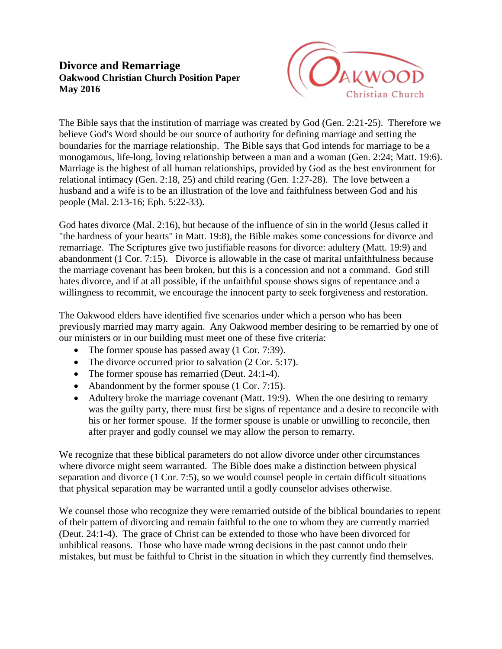## **Divorce and Remarriage Oakwood Christian Church Position Paper May 2016**



The Bible says that the institution of marriage was created by God (Gen. 2:21-25). Therefore we believe God's Word should be our source of authority for defining marriage and setting the boundaries for the marriage relationship. The Bible says that God intends for marriage to be a monogamous, life-long, loving relationship between a man and a woman (Gen. 2:24; Matt. 19:6). Marriage is the highest of all human relationships, provided by God as the best environment for relational intimacy (Gen. 2:18, 25) and child rearing (Gen. 1:27-28). The love between a husband and a wife is to be an illustration of the love and faithfulness between God and his people (Mal. 2:13-16; Eph. 5:22-33).

God hates divorce (Mal. 2:16), but because of the influence of sin in the world (Jesus called it "the hardness of your hearts" in Matt. 19:8), the Bible makes some concessions for divorce and remarriage. The Scriptures give two justifiable reasons for divorce: adultery (Matt. 19:9) and abandonment (1 Cor. 7:15). Divorce is allowable in the case of marital unfaithfulness because the marriage covenant has been broken, but this is a concession and not a command. God still hates divorce, and if at all possible, if the unfaithful spouse shows signs of repentance and a willingness to recommit, we encourage the innocent party to seek forgiveness and restoration.

The Oakwood elders have identified five scenarios under which a person who has been previously married may marry again. Any Oakwood member desiring to be remarried by one of our ministers or in our building must meet one of these five criteria:

- The former spouse has passed away (1 Cor. 7:39).
- The divorce occurred prior to salvation (2 Cor. 5:17).
- The former spouse has remarried (Deut. 24:1-4).
- Abandonment by the former spouse (1 Cor. 7:15).
- Adultery broke the marriage covenant (Matt. 19:9). When the one desiring to remarry was the guilty party, there must first be signs of repentance and a desire to reconcile with his or her former spouse. If the former spouse is unable or unwilling to reconcile, then after prayer and godly counsel we may allow the person to remarry.

We recognize that these biblical parameters do not allow divorce under other circumstances where divorce might seem warranted. The Bible does make a distinction between physical separation and divorce (1 Cor. 7:5), so we would counsel people in certain difficult situations that physical separation may be warranted until a godly counselor advises otherwise.

We counsel those who recognize they were remarried outside of the biblical boundaries to repent of their pattern of divorcing and remain faithful to the one to whom they are currently married (Deut. 24:1-4). The grace of Christ can be extended to those who have been divorced for unbiblical reasons. Those who have made wrong decisions in the past cannot undo their mistakes, but must be faithful to Christ in the situation in which they currently find themselves.